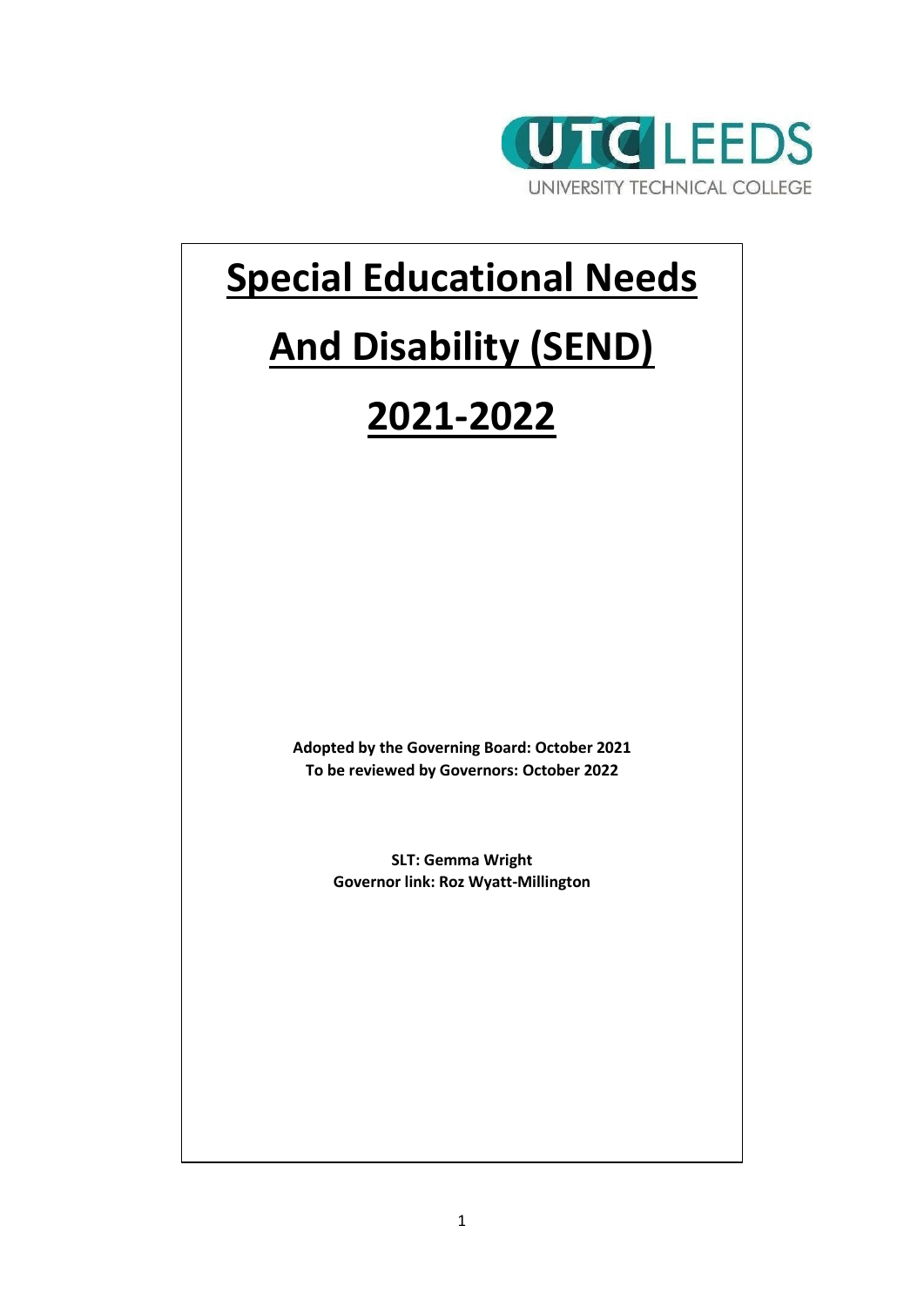

## **Special Educational Needs**

# **And Disability (SEND)**

## **2021-2022**

**Adopted by the Governing Board: October 2021 To be reviewed by Governors: October 2022**

> **SLT: Gemma Wright Governor link: Roz Wyatt-Millington**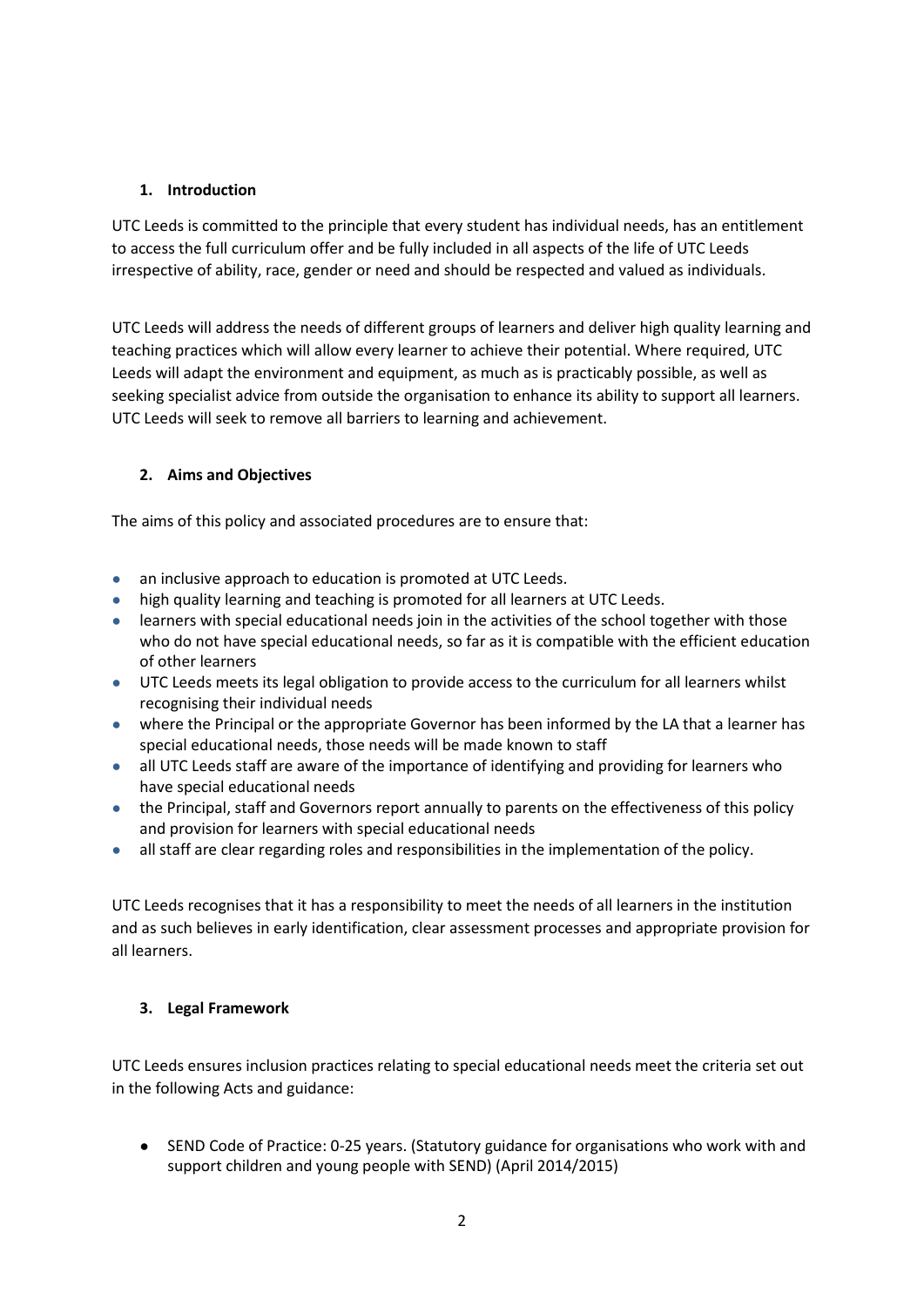## **1. Introduction**

UTC Leeds is committed to the principle that every student has individual needs, has an entitlement to access the full curriculum offer and be fully included in all aspects of the life of UTC Leeds irrespective of ability, race, gender or need and should be respected and valued as individuals.

UTC Leeds will address the needs of different groups of learners and deliver high quality learning and teaching practices which will allow every learner to achieve their potential. Where required, UTC Leeds will adapt the environment and equipment, as much as is practicably possible, as well as seeking specialist advice from outside the organisation to enhance its ability to support all learners. UTC Leeds will seek to remove all barriers to learning and achievement.

## **2. Aims and Objectives**

The aims of this policy and associated procedures are to ensure that:

- an inclusive approach to education is promoted at UTC Leeds.
- high quality learning and teaching is promoted for all learners at UTC Leeds.
- learners with special educational needs join in the activities of the school together with those who do not have special educational needs, so far as it is compatible with the efficient education of other learners
- UTC Leeds meets its legal obligation to provide access to the curriculum for all learners whilst recognising their individual needs
- where the Principal or the appropriate Governor has been informed by the LA that a learner has special educational needs, those needs will be made known to staff
- all UTC Leeds staff are aware of the importance of identifying and providing for learners who have special educational needs
- the Principal, staff and Governors report annually to parents on the effectiveness of this policy and provision for learners with special educational needs
- all staff are clear regarding roles and responsibilities in the implementation of the policy.

UTC Leeds recognises that it has a responsibility to meet the needs of all learners in the institution and as such believes in early identification, clear assessment processes and appropriate provision for all learners.

## **3. Legal Framework**

UTC Leeds ensures inclusion practices relating to special educational needs meet the criteria set out in the following Acts and guidance:

● SEND Code of Practice: 0-25 years. (Statutory guidance for organisations who work with and support children and young people with SEND) (April 2014/2015)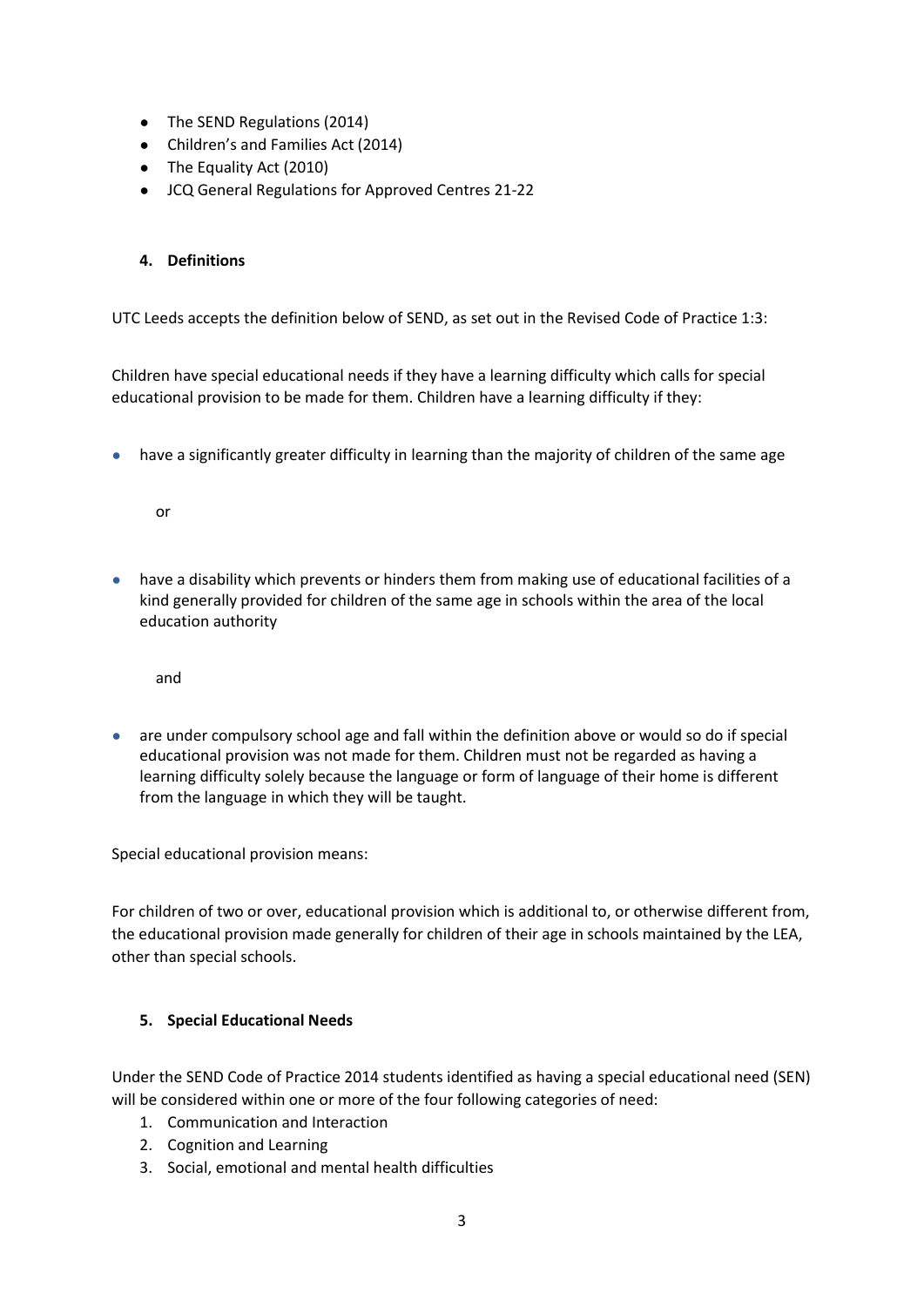- The SEND Regulations (2014)
- Children's and Families Act (2014)
- The Equality Act (2010)
- JCQ General Regulations for Approved Centres 21-22

## **4. Definitions**

UTC Leeds accepts the definition below of SEND, as set out in the Revised Code of Practice 1:3:

Children have special educational needs if they have a learning difficulty which calls for special educational provision to be made for them. Children have a learning difficulty if they:

● have a significantly greater difficulty in learning than the majority of children of the same age

or

● have a disability which prevents or hinders them from making use of educational facilities of a kind generally provided for children of the same age in schools within the area of the local education authority

and

● are under compulsory school age and fall within the definition above or would so do if special educational provision was not made for them. Children must not be regarded as having a learning difficulty solely because the language or form of language of their home is different from the language in which they will be taught.

Special educational provision means:

For children of two or over, educational provision which is additional to, or otherwise different from, the educational provision made generally for children of their age in schools maintained by the LEA, other than special schools.

## **5. Special Educational Needs**

Under the SEND Code of Practice 2014 students identified as having a special educational need (SEN) will be considered within one or more of the four following categories of need:

- 1. Communication and Interaction
- 2. Cognition and Learning
- 3. Social, emotional and mental health difficulties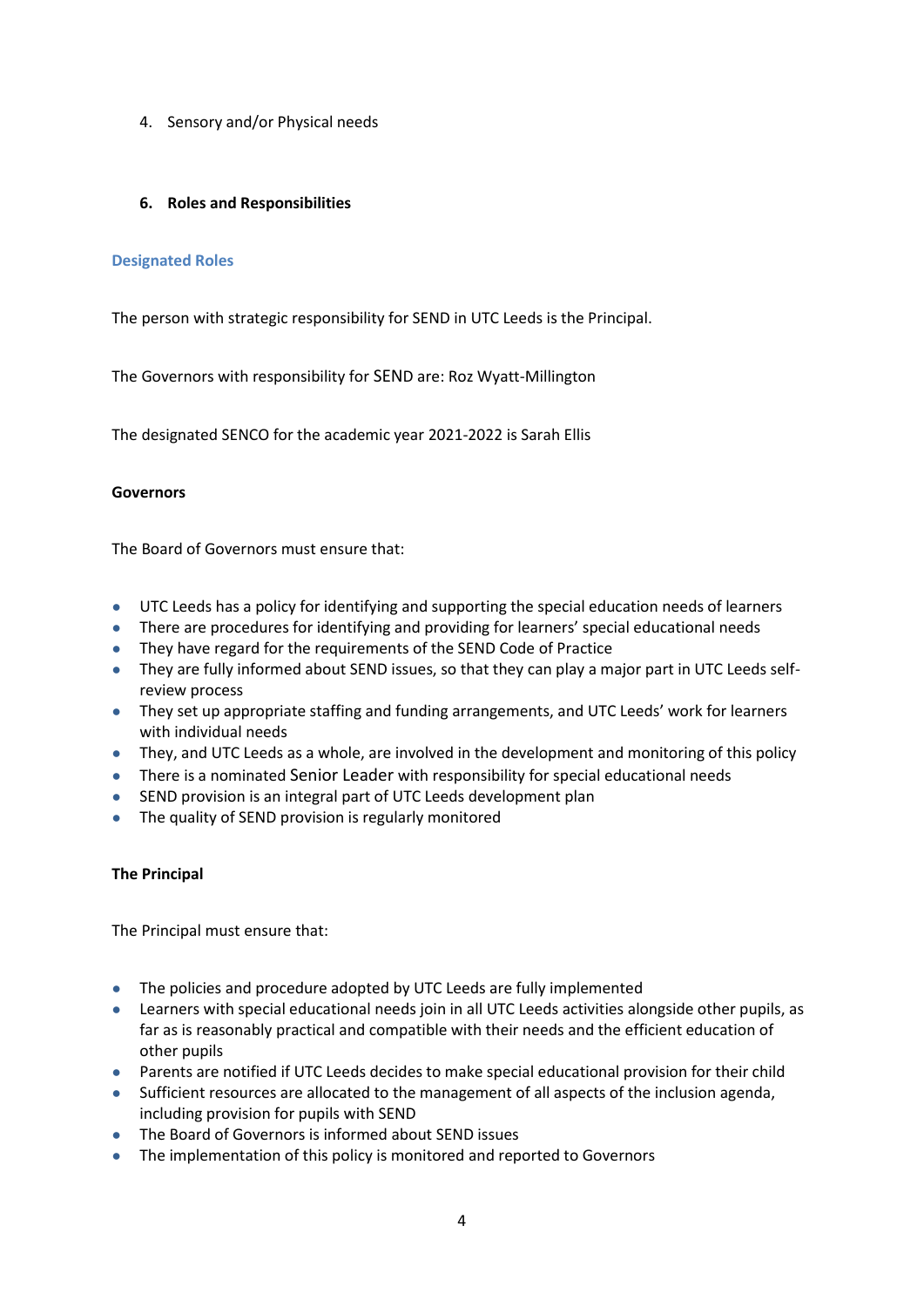4. Sensory and/or Physical needs

#### **6. Roles and Responsibilities**

#### **Designated Roles**

The person with strategic responsibility for SEND in UTC Leeds is the Principal.

The Governors with responsibility for SEND are: Roz Wyatt-Millington

The designated SENCO for the academic year 2021-2022 is Sarah Ellis

#### **Governors**

The Board of Governors must ensure that:

- UTC Leeds has a policy for identifying and supporting the special education needs of learners
- There are procedures for identifying and providing for learners' special educational needs
- They have regard for the requirements of the SEND Code of Practice
- They are fully informed about SEND issues, so that they can play a major part in UTC Leeds selfreview process
- They set up appropriate staffing and funding arrangements, and UTC Leeds' work for learners with individual needs
- They, and UTC Leeds as a whole, are involved in the development and monitoring of this policy
- There is a nominated Senior Leader with responsibility for special educational needs
- SEND provision is an integral part of UTC Leeds development plan
- The quality of SEND provision is regularly monitored

#### **The Principal**

The Principal must ensure that:

- The policies and procedure adopted by UTC Leeds are fully implemented
- Learners with special educational needs join in all UTC Leeds activities alongside other pupils, as far as is reasonably practical and compatible with their needs and the efficient education of other pupils
- Parents are notified if UTC Leeds decides to make special educational provision for their child
- Sufficient resources are allocated to the management of all aspects of the inclusion agenda, including provision for pupils with SEND
- The Board of Governors is informed about SEND issues
- The implementation of this policy is monitored and reported to Governors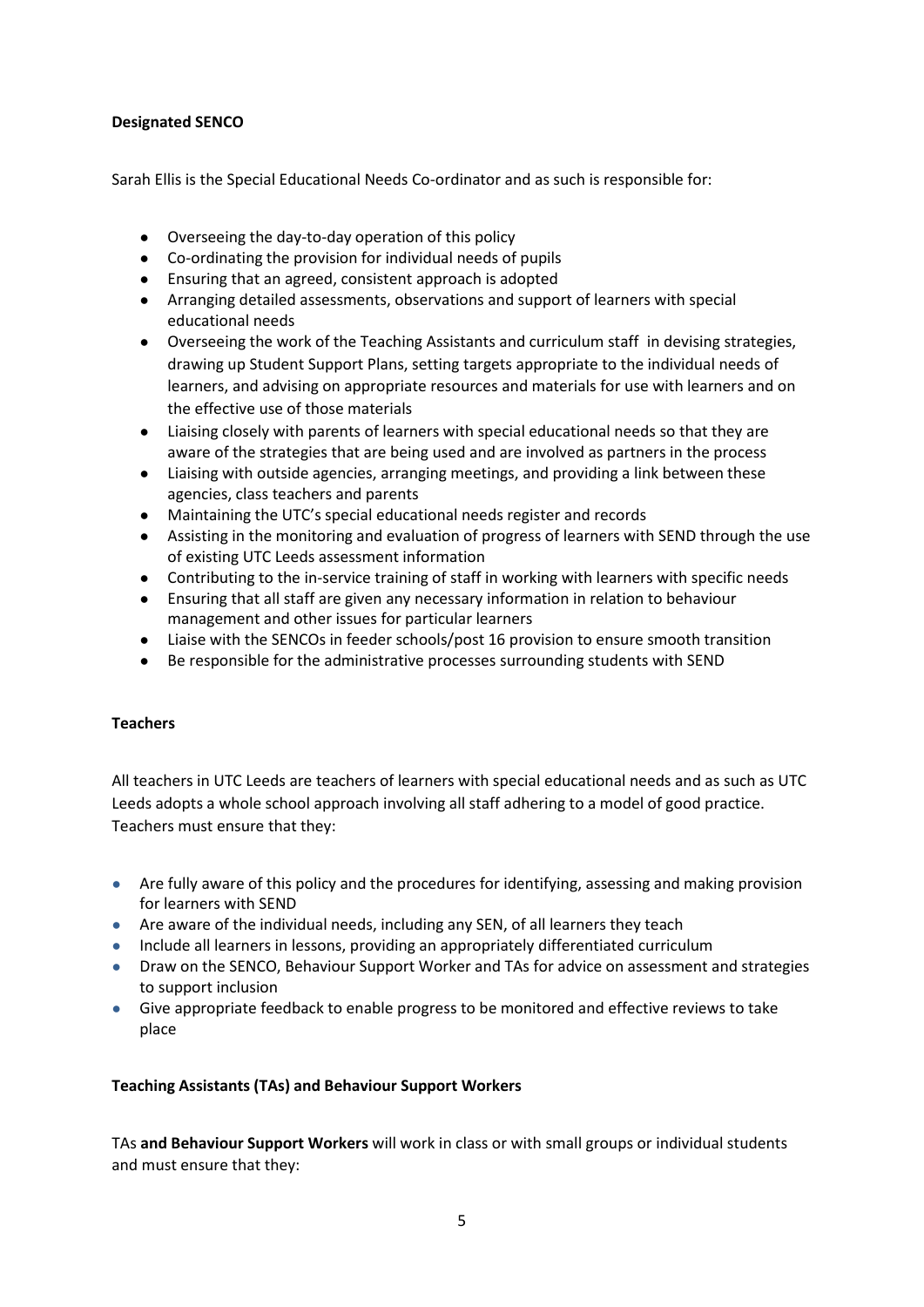## **Designated SENCO**

Sarah Ellis is the Special Educational Needs Co-ordinator and as such is responsible for:

- Overseeing the day-to-day operation of this policy
- Co-ordinating the provision for individual needs of pupils
- Ensuring that an agreed, consistent approach is adopted
- Arranging detailed assessments, observations and support of learners with special educational needs
- Overseeing the work of the Teaching Assistants and curriculum staff in devising strategies, drawing up Student Support Plans, setting targets appropriate to the individual needs of learners, and advising on appropriate resources and materials for use with learners and on the effective use of those materials
- Liaising closely with parents of learners with special educational needs so that they are aware of the strategies that are being used and are involved as partners in the process
- Liaising with outside agencies, arranging meetings, and providing a link between these agencies, class teachers and parents
- Maintaining the UTC's special educational needs register and records
- Assisting in the monitoring and evaluation of progress of learners with SEND through the use of existing UTC Leeds assessment information
- Contributing to the in-service training of staff in working with learners with specific needs
- Ensuring that all staff are given any necessary information in relation to behaviour management and other issues for particular learners
- Liaise with the SENCOs in feeder schools/post 16 provision to ensure smooth transition
- Be responsible for the administrative processes surrounding students with SEND

## **Teachers**

All teachers in UTC Leeds are teachers of learners with special educational needs and as such as UTC Leeds adopts a whole school approach involving all staff adhering to a model of good practice. Teachers must ensure that they:

- Are fully aware of this policy and the procedures for identifying, assessing and making provision for learners with SEND
- Are aware of the individual needs, including any SEN, of all learners they teach
- Include all learners in lessons, providing an appropriately differentiated curriculum
- Draw on the SENCO, Behaviour Support Worker and TAs for advice on assessment and strategies to support inclusion
- Give appropriate feedback to enable progress to be monitored and effective reviews to take place

## **Teaching Assistants (TAs) and Behaviour Support Workers**

TAs **and Behaviour Support Workers** will work in class or with small groups or individual students and must ensure that they: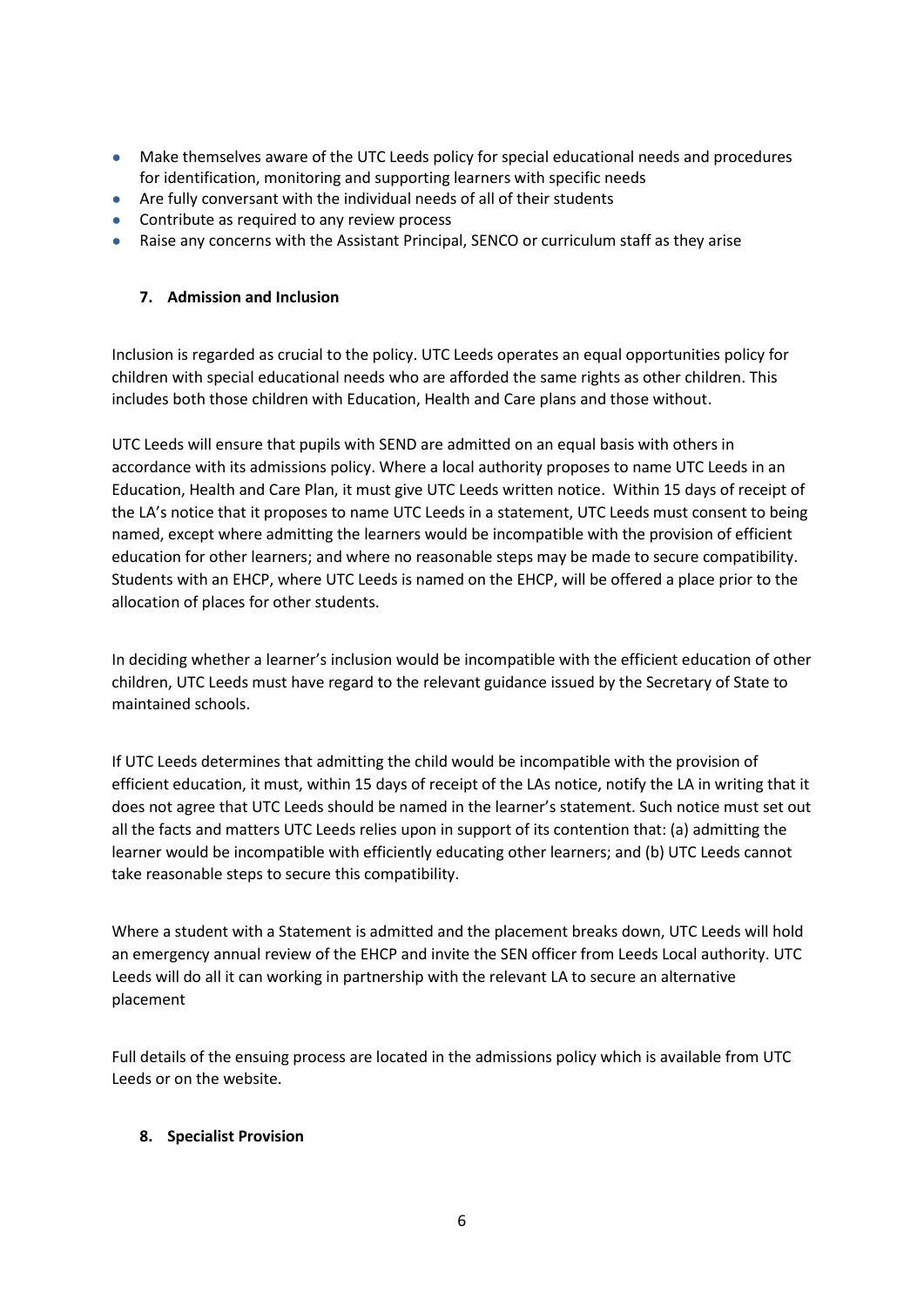- Make themselves aware of the UTC Leeds policy for special educational needs and procedures for identification, monitoring and supporting learners with specific needs
- Are fully conversant with the individual needs of all of their students
- Contribute as required to any review process
- Raise any concerns with the Assistant Principal, SENCO or curriculum staff as they arise

## **7. Admission and Inclusion**

Inclusion is regarded as crucial to the policy. UTC Leeds operates an equal opportunities policy for children with special educational needs who are afforded the same rights as other children. This includes both those children with Education, Health and Care plans and those without.

UTC Leeds will ensure that pupils with SEND are admitted on an equal basis with others in accordance with its admissions policy. Where a local authority proposes to name UTC Leeds in an Education, Health and Care Plan, it must give UTC Leeds written notice. Within 15 days of receipt of the LA's notice that it proposes to name UTC Leeds in a statement, UTC Leeds must consent to being named, except where admitting the learners would be incompatible with the provision of efficient education for other learners; and where no reasonable steps may be made to secure compatibility. Students with an EHCP, where UTC Leeds is named on the EHCP, will be offered a place prior to the allocation of places for other students.

In deciding whether a learner's inclusion would be incompatible with the efficient education of other children, UTC Leeds must have regard to the relevant guidance issued by the Secretary of State to maintained schools.

If UTC Leeds determines that admitting the child would be incompatible with the provision of efficient education, it must, within 15 days of receipt of the LAs notice, notify the LA in writing that it does not agree that UTC Leeds should be named in the learner's statement. Such notice must set out all the facts and matters UTC Leeds relies upon in support of its contention that: (a) admitting the learner would be incompatible with efficiently educating other learners; and (b) UTC Leeds cannot take reasonable steps to secure this compatibility.

Where a student with a Statement is admitted and the placement breaks down, UTC Leeds will hold an emergency annual review of the EHCP and invite the SEN officer from Leeds Local authority. UTC Leeds will do all it can working in partnership with the relevant LA to secure an alternative placement

Full details of the ensuing process are located in the admissions policy which is available from UTC Leeds or on the website.

## **8. Specialist Provision**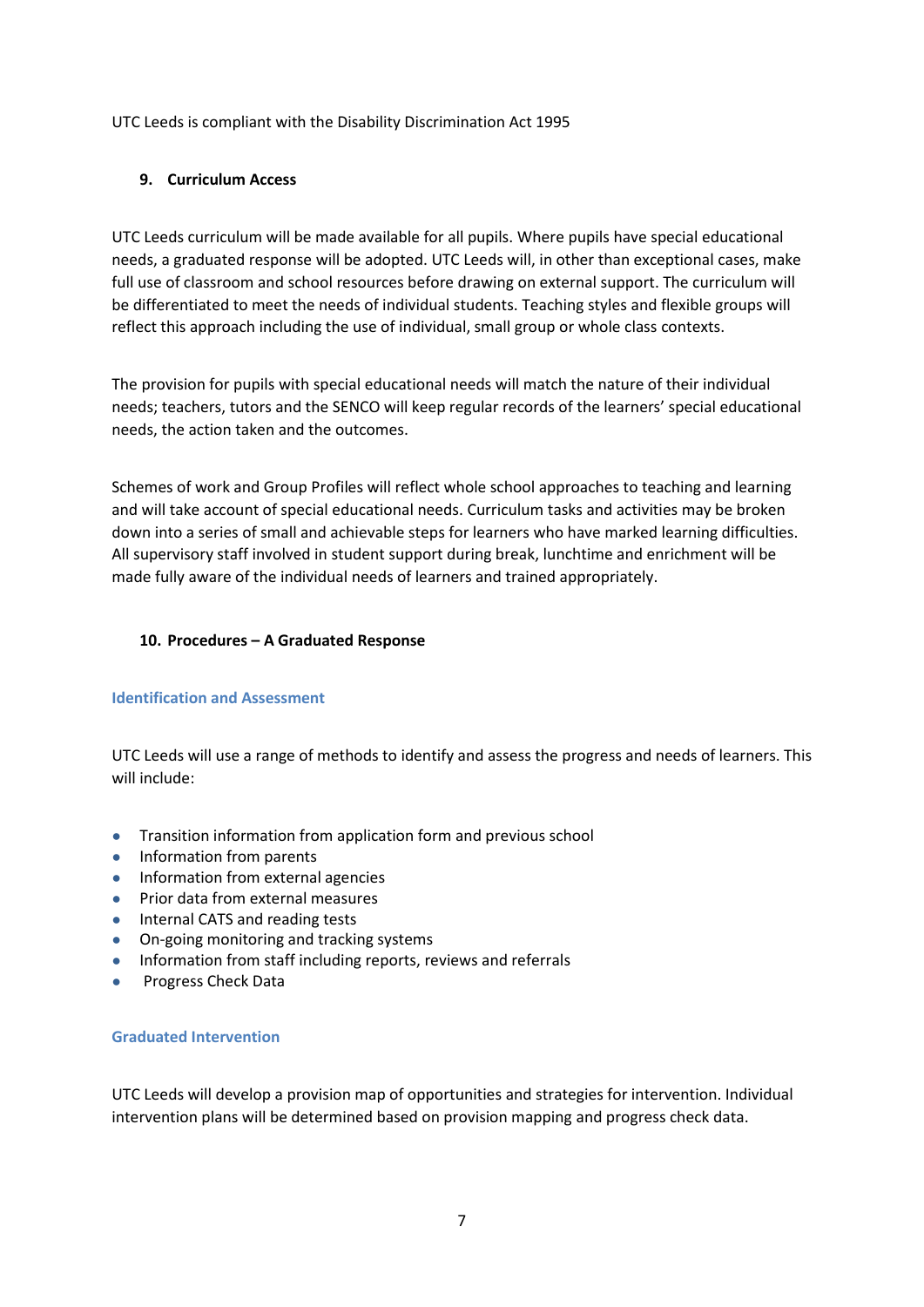UTC Leeds is compliant with the Disability Discrimination Act 1995

## **9. Curriculum Access**

UTC Leeds curriculum will be made available for all pupils. Where pupils have special educational needs, a graduated response will be adopted. UTC Leeds will, in other than exceptional cases, make full use of classroom and school resources before drawing on external support. The curriculum will be differentiated to meet the needs of individual students. Teaching styles and flexible groups will reflect this approach including the use of individual, small group or whole class contexts.

The provision for pupils with special educational needs will match the nature of their individual needs; teachers, tutors and the SENCO will keep regular records of the learners' special educational needs, the action taken and the outcomes.

Schemes of work and Group Profiles will reflect whole school approaches to teaching and learning and will take account of special educational needs. Curriculum tasks and activities may be broken down into a series of small and achievable steps for learners who have marked learning difficulties. All supervisory staff involved in student support during break, lunchtime and enrichment will be made fully aware of the individual needs of learners and trained appropriately.

## **10. Procedures – A Graduated Response**

## **Identification and Assessment**

UTC Leeds will use a range of methods to identify and assess the progress and needs of learners. This will include:

- Transition information from application form and previous school
- Information from parents
- Information from external agencies
- Prior data from external measures
- Internal CATS and reading tests
- On-going monitoring and tracking systems
- Information from staff including reports, reviews and referrals
- Progress Check Data

#### **Graduated Intervention**

UTC Leeds will develop a provision map of opportunities and strategies for intervention. Individual intervention plans will be determined based on provision mapping and progress check data.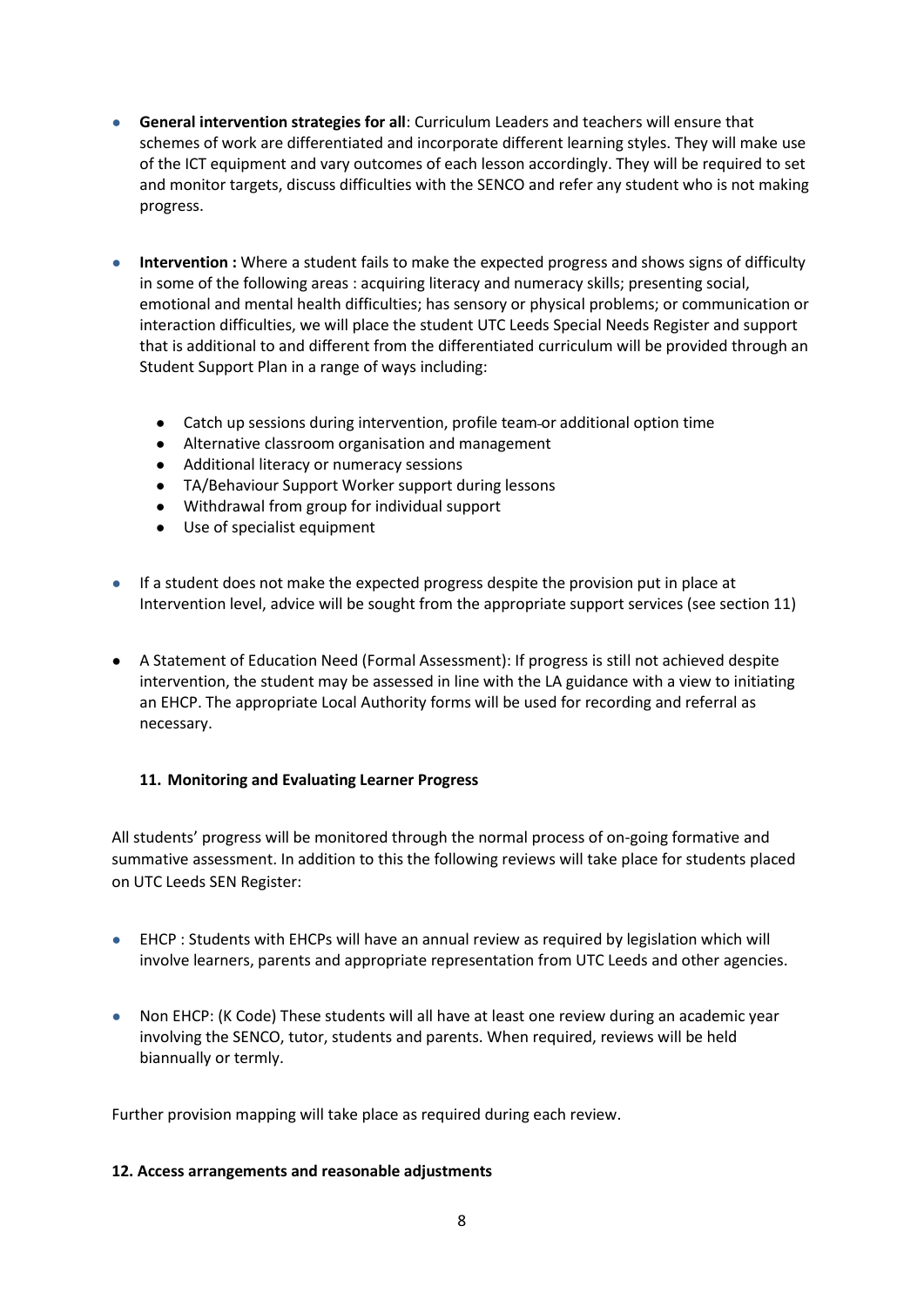- **General intervention strategies for all**: Curriculum Leaders and teachers will ensure that schemes of work are differentiated and incorporate different learning styles. They will make use of the ICT equipment and vary outcomes of each lesson accordingly. They will be required to set and monitor targets, discuss difficulties with the SENCO and refer any student who is not making progress.
- **Intervention** : Where a student fails to make the expected progress and shows signs of difficulty in some of the following areas : acquiring literacy and numeracy skills; presenting social, emotional and mental health difficulties; has sensory or physical problems; or communication or interaction difficulties, we will place the student UTC Leeds Special Needs Register and support that is additional to and different from the differentiated curriculum will be provided through an Student Support Plan in a range of ways including:
	- Catch up sessions during intervention, profile team or additional option time
	- Alternative classroom organisation and management
	- Additional literacy or numeracy sessions
	- TA/Behaviour Support Worker support during lessons
	- Withdrawal from group for individual support
	- Use of specialist equipment
- If a student does not make the expected progress despite the provision put in place at Intervention level, advice will be sought from the appropriate support services (see section 11)
- A Statement of Education Need (Formal Assessment): If progress is still not achieved despite intervention, the student may be assessed in line with the LA guidance with a view to initiating an EHCP. The appropriate Local Authority forms will be used for recording and referral as necessary.

#### **11. Monitoring and Evaluating Learner Progress**

All students' progress will be monitored through the normal process of on-going formative and summative assessment. In addition to this the following reviews will take place for students placed on UTC Leeds SEN Register:

- EHCP : Students with EHCPs will have an annual review as required by legislation which will involve learners, parents and appropriate representation from UTC Leeds and other agencies.
- Non EHCP: (K Code) These students will all have at least one review during an academic year involving the SENCO, tutor, students and parents. When required, reviews will be held biannually or termly.

Further provision mapping will take place as required during each review.

#### **12. Access arrangements and reasonable adjustments**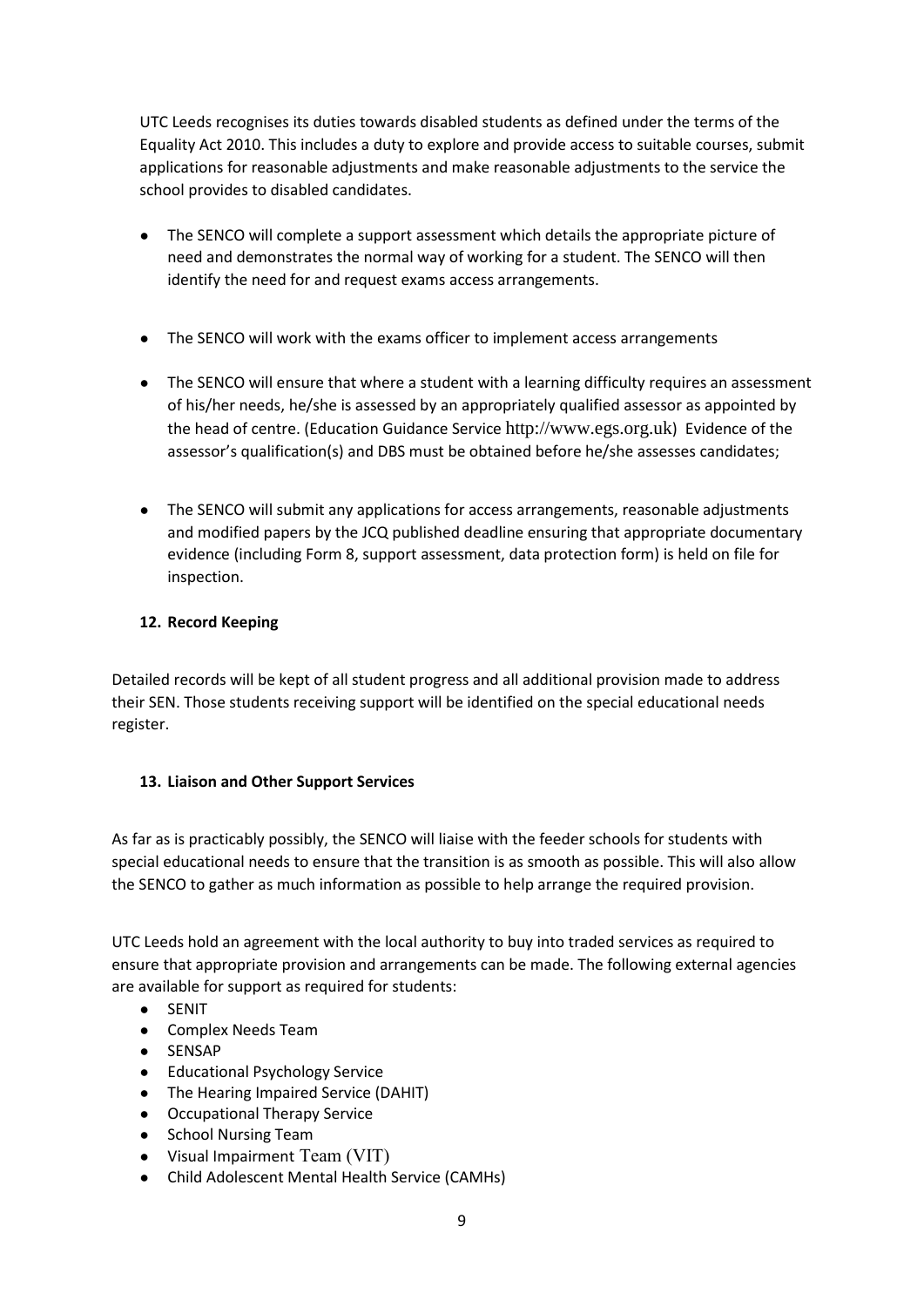UTC Leeds recognises its duties towards disabled students as defined under the terms of the Equality Act 2010. This includes a duty to explore and provide access to suitable courses, submit applications for reasonable adjustments and make reasonable adjustments to the service the school provides to disabled candidates.

- The SENCO will complete a support assessment which details the appropriate picture of need and demonstrates the normal way of working for a student. The SENCO will then identify the need for and request exams access arrangements.
- The SENCO will work with the exams officer to implement access arrangements
- The SENCO will ensure that where a student with a learning difficulty requires an assessment of his/her needs, he/she is assessed by an appropriately qualified assessor as appointed by the head of centre. (Education Guidance Service [http://www.egs.org.uk](http://www.egs.org.uk/)) Evidence of the assessor's qualification(s) and DBS must be obtained before he/she assesses candidates;
- The SENCO will submit any applications for access arrangements, reasonable adjustments and modified papers by the JCQ published deadline ensuring that appropriate documentary evidence (including Form 8, support assessment, data protection form) is held on file for inspection.

## **12. Record Keeping**

Detailed records will be kept of all student progress and all additional provision made to address their SEN. Those students receiving support will be identified on the special educational needs register.

#### **13. Liaison and Other Support Services**

As far as is practicably possibly, the SENCO will liaise with the feeder schools for students with special educational needs to ensure that the transition is as smooth as possible. This will also allow the SENCO to gather as much information as possible to help arrange the required provision.

UTC Leeds hold an agreement with the local authority to buy into traded services as required to ensure that appropriate provision and arrangements can be made. The following external agencies are available for support as required for students:

- SENIT
- Complex Needs Team
- SENSAP
- Educational Psychology Service
- The Hearing Impaired Service (DAHIT)
- Occupational Therapy Service
- School Nursing Team
- Visual Impairment Team (VIT)
- Child Adolescent Mental Health Service (CAMHs)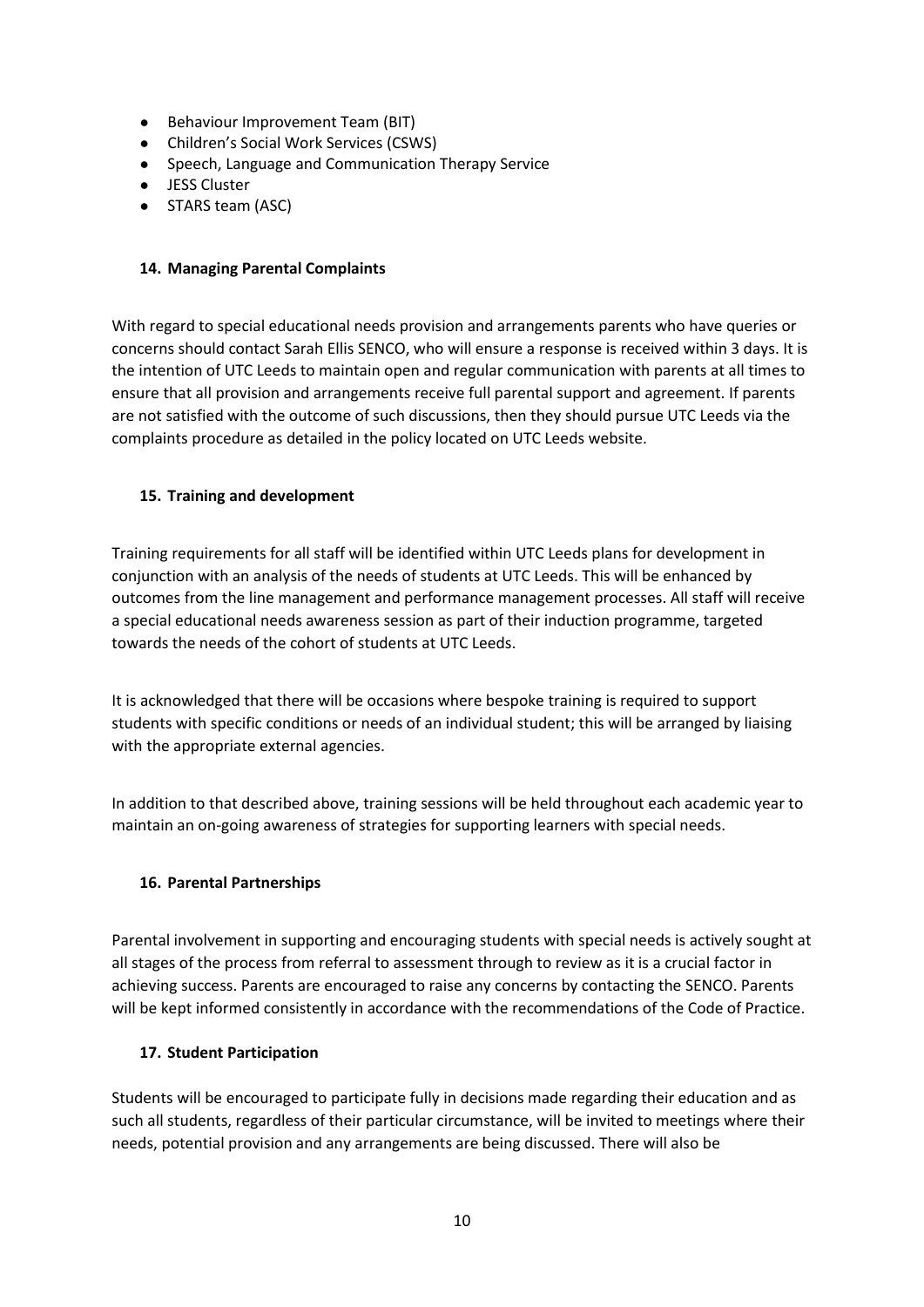- Behaviour Improvement Team (BIT)
- Children's Social Work Services (CSWS)
- Speech, Language and Communication Therapy Service
- JESS Cluster
- STARS team (ASC)

#### **14. Managing Parental Complaints**

With regard to special educational needs provision and arrangements parents who have queries or concerns should contact Sarah Ellis SENCO, who will ensure a response is received within 3 days. It is the intention of UTC Leeds to maintain open and regular communication with parents at all times to ensure that all provision and arrangements receive full parental support and agreement. If parents are not satisfied with the outcome of such discussions, then they should pursue UTC Leeds via the complaints procedure as detailed in the policy located on UTC Leeds website.

## **15. Training and development**

Training requirements for all staff will be identified within UTC Leeds plans for development in conjunction with an analysis of the needs of students at UTC Leeds. This will be enhanced by outcomes from the line management and performance management processes. All staff will receive a special educational needs awareness session as part of their induction programme, targeted towards the needs of the cohort of students at UTC Leeds.

It is acknowledged that there will be occasions where bespoke training is required to support students with specific conditions or needs of an individual student; this will be arranged by liaising with the appropriate external agencies.

In addition to that described above, training sessions will be held throughout each academic year to maintain an on-going awareness of strategies for supporting learners with special needs.

## **16. Parental Partnerships**

Parental involvement in supporting and encouraging students with special needs is actively sought at all stages of the process from referral to assessment through to review as it is a crucial factor in achieving success. Parents are encouraged to raise any concerns by contacting the SENCO. Parents will be kept informed consistently in accordance with the recommendations of the Code of Practice.

## **17. Student Participation**

Students will be encouraged to participate fully in decisions made regarding their education and as such all students, regardless of their particular circumstance, will be invited to meetings where their needs, potential provision and any arrangements are being discussed. There will also be